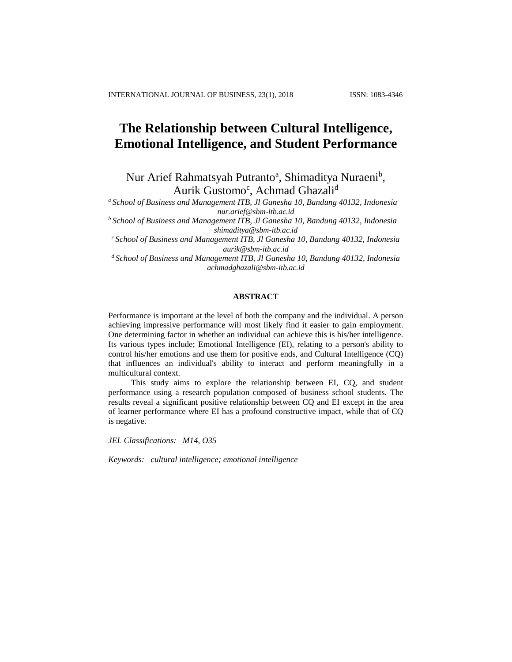# **The Relationship between Cultural Intelligence, Emotional Intelligence, and Student Performance**

Nur Arief Rahmatsyah Putranto<sup>a</sup>, Shimaditya Nuraeni<sup>b</sup>, Aurik Gustomo<sup>c</sup>, Achmad Ghazali<sup>d</sup>

*<sup>a</sup>School of Business and Management ITB, Jl Ganesha 10, Bandung 40132, Indonesia [nur.arief@sbm-itb.ac.id](mailto:nur.arief@sbm-itb.ac.id)*

*<sup>b</sup>School of Business and Management ITB, Jl Ganesha 10, Bandung 40132, Indonesia [shimaditya@sbm-itb.ac.id](mailto:shimaditya@sbm-itb.ac.id)*

*<sup>c</sup>School of Business and Management ITB, Jl Ganesha 10, Bandung 40132, Indonesia [aurik@sbm-itb.ac.id](mailto:aurik@sbm-itb.ac.id)*

*<sup>d</sup>School of Business and Management ITB, Jl Ganesha 10, Bandung 40132, Indonesia [achmadghazali@sbm-itb.ac.id](mailto:achmadghazali@sbm-itb.ac.id)*

## **ABSTRACT**

Performance is important at the level of both the company and the individual. A person achieving impressive performance will most likely find it easier to gain employment. One determining factor in whether an individual can achieve this is his/her intelligence. Its various types include; Emotional Intelligence (EI), relating to a person's ability to control his/her emotions and use them for positive ends, and Cultural Intelligence (CQ) that influences an individual's ability to interact and perform meaningfully in a multicultural context.

This study aims to explore the relationship between EI, CQ, and student performance using a research population composed of business school students. The results reveal a significant positive relationship between CQ and EI except in the area of learner performance where EI has a profound constructive impact, while that of CQ is negative.

*JEL Classifications: M14, O35*

*Keywords: cultural intelligence; emotional intelligence*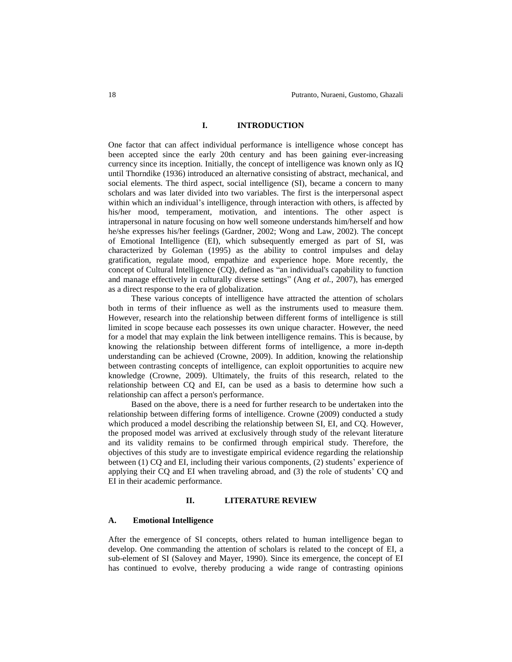## **I. INTRODUCTION**

One factor that can affect individual performance is intelligence whose concept has been accepted since the early 20th century and has been gaining ever-increasing currency since its inception. Initially, the concept of intelligence was known only as IQ until Thorndike (1936) introduced an alternative consisting of abstract, mechanical, and social elements. The third aspect, social intelligence (SI), became a concern to many scholars and was later divided into two variables. The first is the interpersonal aspect within which an individual's intelligence, through interaction with others, is affected by his/her mood, temperament, motivation, and intentions. The other aspect is intrapersonal in nature focusing on how well someone understands him/herself and how he/she expresses his/her feelings (Gardner, 2002; Wong and Law, 2002). The concept of Emotional Intelligence (EI), which subsequently emerged as part of SI, was characterized by Goleman (1995) as the ability to control impulses and delay gratification, regulate mood, empathize and experience hope. More recently, the concept of Cultural Intelligence (CQ), defined as "an individual's capability to function and manage effectively in culturally diverse settings" (Ang *et al.*, 2007), has emerged as a direct response to the era of globalization.

These various concepts of intelligence have attracted the attention of scholars both in terms of their influence as well as the instruments used to measure them. However, research into the relationship between different forms of intelligence is still limited in scope because each possesses its own unique character. However, the need for a model that may explain the link between intelligence remains. This is because, by knowing the relationship between different forms of intelligence, a more in-depth understanding can be achieved (Crowne, 2009). In addition, knowing the relationship between contrasting concepts of intelligence, can exploit opportunities to acquire new knowledge (Crowne, 2009). Ultimately, the fruits of this research, related to the relationship between CQ and EI, can be used as a basis to determine how such a relationship can affect a person's performance.

Based on the above, there is a need for further research to be undertaken into the relationship between differing forms of intelligence. Crowne (2009) conducted a study which produced a model describing the relationship between SI, EI, and CQ. However, the proposed model was arrived at exclusively through study of the relevant literature and its validity remains to be confirmed through empirical study. Therefore, the objectives of this study are to investigate empirical evidence regarding the relationship between (1) CQ and EI, including their various components, (2) students' experience of applying their CQ and EI when traveling abroad, and (3) the role of students' CQ and EI in their academic performance.

#### **II. LITERATURE REVIEW**

#### **A. Emotional Intelligence**

After the emergence of SI concepts, others related to human intelligence began to develop. One commanding the attention of scholars is related to the concept of EI, a sub-element of SI (Salovey and Mayer, 1990). Since its emergence, the concept of EI has continued to evolve, thereby producing a wide range of contrasting opinions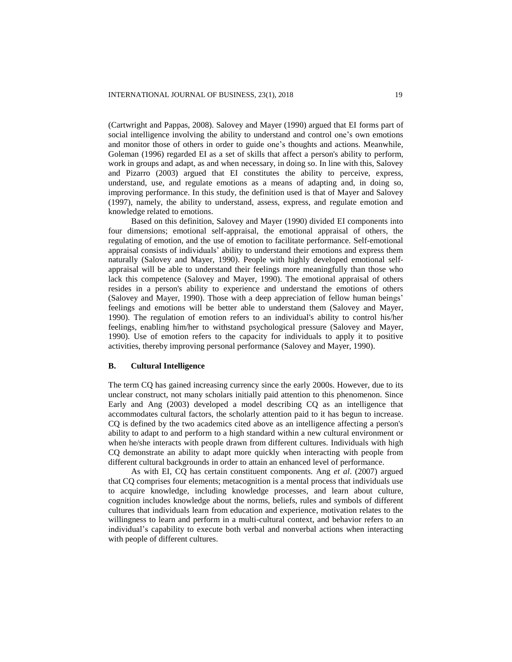(Cartwright and Pappas, 2008). Salovey and Mayer (1990) argued that EI forms part of social intelligence involving the ability to understand and control one's own emotions and monitor those of others in order to guide one's thoughts and actions. Meanwhile, Goleman (1996) regarded EI as a set of skills that affect a person's ability to perform, work in groups and adapt, as and when necessary, in doing so. In line with this, Salovey and Pizarro (2003) argued that EI constitutes the ability to perceive, express, understand, use, and regulate emotions as a means of adapting and, in doing so, improving performance. In this study, the definition used is that of Mayer and Salovey (1997), namely, the ability to understand, assess, express, and regulate emotion and knowledge related to emotions.

Based on this definition, Salovey and Mayer (1990) divided EI components into four dimensions; emotional self-appraisal, the emotional appraisal of others, the regulating of emotion, and the use of emotion to facilitate performance. Self-emotional appraisal consists of individuals' ability to understand their emotions and express them naturally (Salovey and Mayer, 1990). People with highly developed emotional selfappraisal will be able to understand their feelings more meaningfully than those who lack this competence (Salovey and Mayer, 1990). The emotional appraisal of others resides in a person's ability to experience and understand the emotions of others (Salovey and Mayer, 1990). Those with a deep appreciation of fellow human beings' feelings and emotions will be better able to understand them (Salovey and Mayer, 1990). The regulation of emotion refers to an individual's ability to control his/her feelings, enabling him/her to withstand psychological pressure (Salovey and Mayer, 1990). Use of emotion refers to the capacity for individuals to apply it to positive activities, thereby improving personal performance (Salovey and Mayer, 1990).

#### **B. Cultural Intelligence**

The term CQ has gained increasing currency since the early 2000s. However, due to its unclear construct, not many scholars initially paid attention to this phenomenon. Since Early and Ang (2003) developed a model describing CQ as an intelligence that accommodates cultural factors, the scholarly attention paid to it has begun to increase. CQ is defined by the two academics cited above as an intelligence affecting a person's ability to adapt to and perform to a high standard within a new cultural environment or when he/she interacts with people drawn from different cultures. Individuals with high CQ demonstrate an ability to adapt more quickly when interacting with people from different cultural backgrounds in order to attain an enhanced level of performance.

As with EI, CQ has certain constituent components. Ang *et al*. (2007) argued that CQ comprises four elements; metacognition is a mental process that individuals use to acquire knowledge, including knowledge processes, and learn about culture, cognition includes knowledge about the norms, beliefs, rules and symbols of different cultures that individuals learn from education and experience, motivation relates to the willingness to learn and perform in a multi-cultural context, and behavior refers to an individual's capability to execute both verbal and nonverbal actions when interacting with people of different cultures.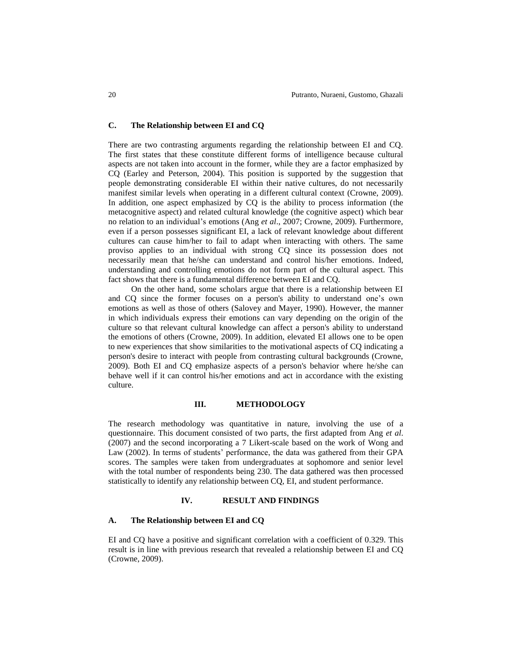# **C. The Relationship between EI and CQ**

There are two contrasting arguments regarding the relationship between EI and CQ. The first states that these constitute different forms of intelligence because cultural aspects are not taken into account in the former, while they are a factor emphasized by CQ (Earley and Peterson, 2004). This position is supported by the suggestion that people demonstrating considerable EI within their native cultures, do not necessarily manifest similar levels when operating in a different cultural context (Crowne, 2009). In addition, one aspect emphasized by CQ is the ability to process information (the metacognitive aspect) and related cultural knowledge (the cognitive aspect) which bear no relation to an individual's emotions (Ang *et al*., 2007; Crowne, 2009). Furthermore, even if a person possesses significant EI, a lack of relevant knowledge about different cultures can cause him/her to fail to adapt when interacting with others. The same proviso applies to an individual with strong CQ since its possession does not necessarily mean that he/she can understand and control his/her emotions. Indeed, understanding and controlling emotions do not form part of the cultural aspect. This fact shows that there is a fundamental difference between EI and CQ.

On the other hand, some scholars argue that there is a relationship between EI and CQ since the former focuses on a person's ability to understand one's own emotions as well as those of others (Salovey and Mayer, 1990). However, the manner in which individuals express their emotions can vary depending on the origin of the culture so that relevant cultural knowledge can affect a person's ability to understand the emotions of others (Crowne, 2009). In addition, elevated EI allows one to be open to new experiences that show similarities to the motivational aspects of CQ indicating a person's desire to interact with people from contrasting cultural backgrounds (Crowne, 2009). Both EI and CQ emphasize aspects of a person's behavior where he/she can behave well if it can control his/her emotions and act in accordance with the existing culture.

## **III. METHODOLOGY**

The research methodology was quantitative in nature, involving the use of a questionnaire. This document consisted of two parts, the first adapted from Ang *et al*. (2007) and the second incorporating a 7 Likert-scale based on the work of Wong and Law (2002). In terms of students' performance, the data was gathered from their GPA scores. The samples were taken from undergraduates at sophomore and senior level with the total number of respondents being 230. The data gathered was then processed statistically to identify any relationship between CQ, EI, and student performance.

#### **IV. RESULT AND FINDINGS**

#### **A. The Relationship between EI and CQ**

EI and CQ have a positive and significant correlation with a coefficient of 0.329. This result is in line with previous research that revealed a relationship between EI and CQ (Crowne, 2009).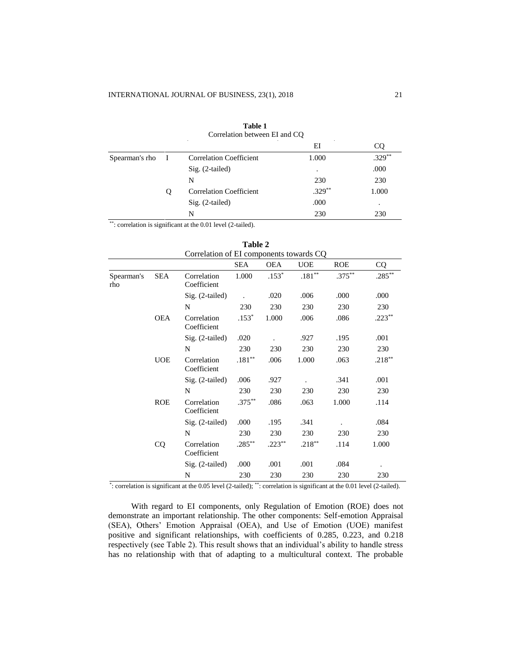|                |              | Correlation between EI and CQ  |           |          |
|----------------|--------------|--------------------------------|-----------|----------|
|                |              |                                | ΕI        |          |
| Spearman's rho | $\mathbf{I}$ | <b>Correlation Coefficient</b> | 1.000     | $.329**$ |
|                |              | $Sig. (2-tailed)$              | ٠         | .000     |
|                |              | N                              | 230       | 230      |
|                | Ő            | <b>Correlation Coefficient</b> | $.329***$ | 1.000    |
|                |              | $Sig. (2-tailed)$              | .000      | ٠        |
|                |              | N                              | 230       | 230      |

**Table 1**

\*\*: correlation is significant at the 0.01 level (2-tailed).

|                   |            | $\alpha$ components to wards $\beta$ | SEA       | <b>OEA</b> | <b>UOE</b>        | <b>ROE</b> |                   |
|-------------------|------------|--------------------------------------|-----------|------------|-------------------|------------|-------------------|
|                   |            |                                      |           |            |                   |            | CQ.               |
| Spearman's<br>rho | <b>SEA</b> | Correlation<br>Coefficient           | 1.000     | $.153*$    | $.181^{\ast\ast}$ | $.375***$  | $.285^{\ast\ast}$ |
|                   |            | Sig. (2-tailed)                      |           | .020       | .006              | .000       | .000              |
|                   |            | N                                    | 230       | 230        | 230               | 230        | 230               |
|                   | <b>OEA</b> | Correlation<br>Coefficient           | $.153*$   | 1.000      | .006              | .086       | $.223**$          |
|                   |            | Sig. (2-tailed)                      | .020      |            | .927              | .195       | .001              |
|                   |            | N                                    | 230       | 230        | 230               | 230        | 230               |
|                   | <b>UOE</b> | Correlation<br>Coefficient           | $.181**$  | .006       | 1.000             | .063       | $.218***$         |
|                   |            | $Sig. (2-tailed)$                    | .006      | .927       |                   | .341       | .001              |
|                   |            | N                                    | 230       | 230        | 230               | 230        | 230               |
|                   | <b>ROE</b> | Correlation<br>Coefficient           | $.375***$ | .086       | .063              | 1.000      | .114              |
|                   |            | $Sig. (2-tailed)$                    | .000      | .195       | .341              |            | .084              |
|                   |            | N                                    | 230       | 230        | 230               | 230        | 230               |
|                   | CQ         | Correlation<br>Coefficient           | $.285***$ | $.223**$   | $.218***$         | .114       | 1.000             |
|                   |            | $Sig. (2-tailed)$                    | .000      | .001       | .001              | .084       |                   |
|                   |            | N                                    | 230       | 230        | 230               | 230        | 230               |

**Table 2** Correlation of EI components towards CQ

\* : correlation is significant at the 0.05 level (2-tailed); \*\*: correlation is significant at the 0.01 level (2-tailed).

With regard to EI components, only Regulation of Emotion (ROE) does not demonstrate an important relationship. The other components: Self-emotion Appraisal (SEA), Others' Emotion Appraisal (OEA), and Use of Emotion (UOE) manifest positive and significant relationships, with coefficients of 0.285, 0.223, and 0.218 respectively (see Table 2). This result shows that an individual's ability to handle stress has no relationship with that of adapting to a multicultural context. The probable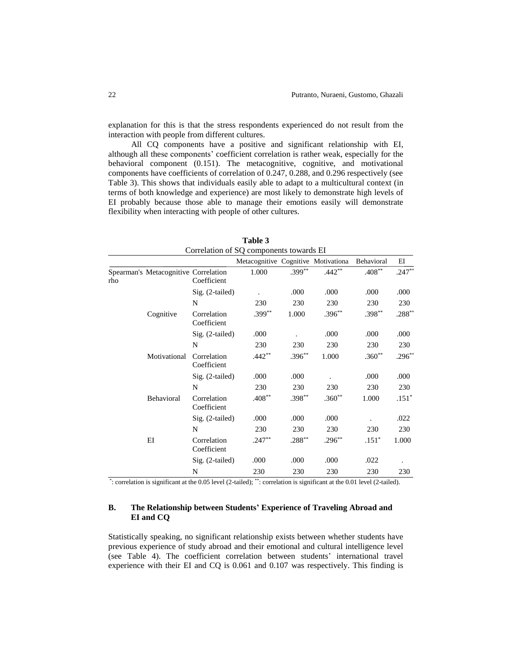explanation for this is that the stress respondents experienced do not result from the interaction with people from different cultures.

All CQ components have a positive and significant relationship with EI, although all these components' coefficient correlation is rather weak, especially for the behavioral component (0.151). The metacognitive, cognitive, and motivational components have coefficients of correlation of 0.247, 0.288, and 0.296 respectively (see Table 3). This shows that individuals easily able to adapt to a multicultural context (in terms of both knowledge and experience) are most likely to demonstrate high levels of EI probably because those able to manage their emotions easily will demonstrate flexibility when interacting with people of other cultures.

|     |                                      |                            | Metacognitive Cognitive Motivationa |           |          | Behavioral | ΕI       |
|-----|--------------------------------------|----------------------------|-------------------------------------|-----------|----------|------------|----------|
| rho | Spearman's Metacognitive Correlation | Coefficient                | 1.000                               | $.399***$ | $.442**$ | $.408**$   | $.247**$ |
|     |                                      | $Sig. (2-tailed)$          |                                     | .000      | .000     | .000       | .000     |
|     |                                      | N                          | 230                                 | 230       | 230      | 230        | 230      |
|     | Cognitive                            | Correlation<br>Coefficient | $.399**$                            | 1.000     | $.396**$ | $.398**$   | $.288**$ |
|     |                                      | $Sig. (2-tailed)$          | .000                                |           | .000     | .000       | .000     |
|     |                                      | N                          | 230                                 | 230       | 230      | 230        | 230      |
|     | Motivational                         | Correlation<br>Coefficient | $.442**$                            | $.396**$  | 1.000    | $.360**$   | $.296**$ |
|     |                                      | $Sig. (2-tailed)$          | .000                                | .000      |          | .000       | .000     |
|     |                                      | N                          | 230                                 | 230       | 230      | 230        | 230      |
|     | Behavioral                           | Correlation<br>Coefficient | $.408**$                            | $.398**$  | $.360**$ | 1.000      | $.151*$  |
|     |                                      | Sig. (2-tailed)            | .000                                | .000      | .000     |            | .022     |
|     |                                      | N                          | 230                                 | 230       | 230      | 230        | 230      |
|     | ΕI                                   | Correlation<br>Coefficient | $.247**$                            | $.288**$  | $.296**$ | $.151*$    | 1.000    |
|     |                                      | $Sig. (2-tailed)$          | .000                                | .000      | .000     | .022       |          |
|     |                                      | N                          | 230                                 | 230       | 230      | 230        | 230      |

**Table 3** Correlation of SQ components towards EI

\* : correlation is significant at the 0.05 level (2-tailed); \*\*: correlation is significant at the 0.01 level (2-tailed).

# **B. The Relationship between Students' Experience of Traveling Abroad and EI and CQ**

Statistically speaking, no significant relationship exists between whether students have previous experience of study abroad and their emotional and cultural intelligence level (see Table 4). The coefficient correlation between students' international travel experience with their EI and CQ is 0.061 and 0.107 was respectively. This finding is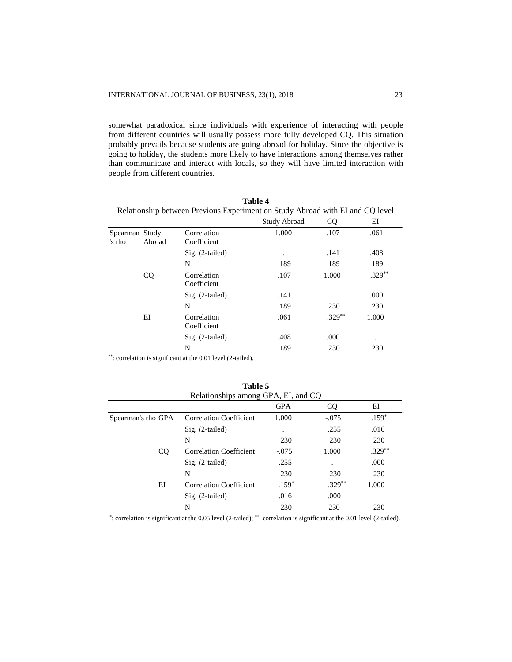somewhat paradoxical since individuals with experience of interacting with people from different countries will usually possess more fully developed CQ. This situation probably prevails because students are going abroad for holiday. Since the objective is going to holiday, the students more likely to have interactions among themselves rather than communicate and interact with locals, so they will have limited interaction with people from different countries.

**Table 4**

| Relationship between Previous Experiment on Study Abroad with EI and CQ level |           |                            |              |           |           |
|-------------------------------------------------------------------------------|-----------|----------------------------|--------------|-----------|-----------|
|                                                                               |           |                            | Study Abroad | <b>CQ</b> | EI        |
| Spearman Study<br>'s rho                                                      | Abroad    | Correlation<br>Coefficient | 1.000        | .107      | .061      |
|                                                                               |           | $Sig. (2-tailed)$          | $\bullet$    | .141      | .408      |
|                                                                               |           | N                          | 189          | 189       | 189       |
|                                                                               | <b>CQ</b> | Correlation<br>Coefficient | .107         | 1.000     | $.329***$ |
|                                                                               |           | $Sig. (2-tailed)$          | .141         | ٠         | .000      |
|                                                                               |           | N                          | 189          | 230       | 230       |
|                                                                               | ΕI        | Correlation<br>Coefficient | .061         | $.329***$ | 1.000     |
|                                                                               |           | $Sig. (2-tailed)$          | .408         | .000      |           |
|                                                                               |           | N                          | 189          | 230       | 230       |

\*\*: correlation is significant at the 0.01 level (2-tailed).

| Relationships among GPA, EI, and CQ |                                |            |          |           |  |
|-------------------------------------|--------------------------------|------------|----------|-----------|--|
|                                     |                                | <b>GPA</b> | CQ.      | ΕI        |  |
| Spearman's rho GPA                  | <b>Correlation Coefficient</b> | 1.000      | $-.075$  | $.159*$   |  |
|                                     | $Sig. (2-tailed)$              | ٠          | .255     | .016      |  |
|                                     | N                              | 230        | 230      | 230       |  |
| CQ.                                 | Correlation Coefficient        | $-.075$    | 1.000    | $.329***$ |  |
|                                     | $Sig. (2-tailed)$              | .255       |          | .000      |  |
|                                     | N                              | 230        | 230      | 230       |  |
| ΕI                                  | <b>Correlation Coefficient</b> | $.159*$    | $.329**$ | 1.000     |  |
|                                     | $Sig. (2-tailed)$              | .016       | .000     | ٠         |  |
|                                     | N                              | 230        | 230      | 230       |  |

**Table 5**

\* : correlation is significant at the 0.05 level (2-tailed); \*\*: correlation is significant at the 0.01 level (2-tailed).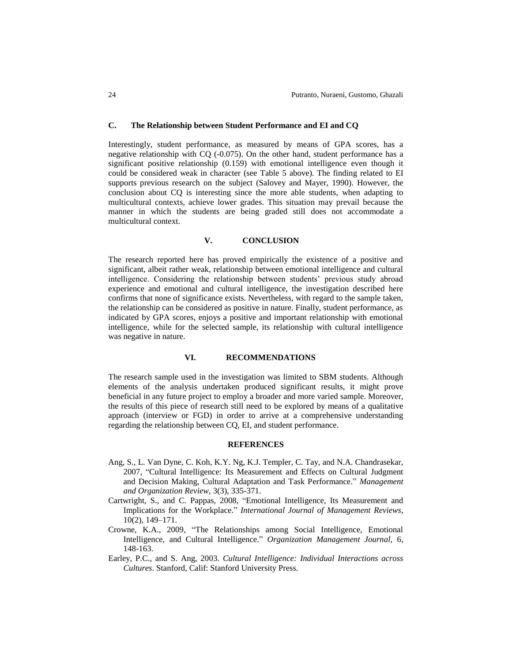## **C. The Relationship between Student Performance and EI and CQ**

Interestingly, student performance, as measured by means of GPA scores, has a negative relationship with CQ (-0.075). On the other hand, student performance has a significant positive relationship (0.159) with emotional intelligence even though it could be considered weak in character (see Table 5 above). The finding related to EI supports previous research on the subject (Salovey and Mayer, 1990). However, the conclusion about CQ is interesting since the more able students, when adapting to multicultural contexts, achieve lower grades. This situation may prevail because the manner in which the students are being graded still does not accommodate a multicultural context.

## **V. CONCLUSION**

The research reported here has proved empirically the existence of a positive and significant, albeit rather weak, relationship between emotional intelligence and cultural intelligence. Considering the relationship between students' previous study abroad experience and emotional and cultural intelligence, the investigation described here confirms that none of significance exists. Nevertheless, with regard to the sample taken, the relationship can be considered as positive in nature. Finally, student performance, as indicated by GPA scores, enjoys a positive and important relationship with emotional intelligence, while for the selected sample, its relationship with cultural intelligence was negative in nature.

## **VI. RECOMMENDATIONS**

The research sample used in the investigation was limited to SBM students. Although elements of the analysis undertaken produced significant results, it might prove beneficial in any future project to employ a broader and more varied sample. Moreover, the results of this piece of research still need to be explored by means of a qualitative approach (interview or FGD) in order to arrive at a comprehensive understanding regarding the relationship between CQ, EI, and student performance.

#### **REFERENCES**

- Ang, S., L. Van Dyne, C. Koh, K.Y. Ng, K.J. Templer, C. Tay, and N.A. Chandrasekar, 2007, "Cultural Intelligence: Its Measurement and Effects on Cultural Judgment and Decision Making, Cultural Adaptation and Task Performance." *Management and Organization Review,* 3(3), 335-371.
- Cartwright, S., and C. Pappas, 2008, "Emotional Intelligence, Its Measurement and Implications for the Workplace." *International Journal of Management Reviews*, 10(2), 149–171.
- Crowne, K.A., 2009, "The Relationships among Social Intelligence, Emotional Intelligence, and Cultural Intelligence." *Organization Management Journal,* 6, 148-163.
- Earley, P.C., and S. Ang, 2003. *Cultural Intelligence: Individual Interactions across Cultures*. Stanford, Calif: Stanford University Press.